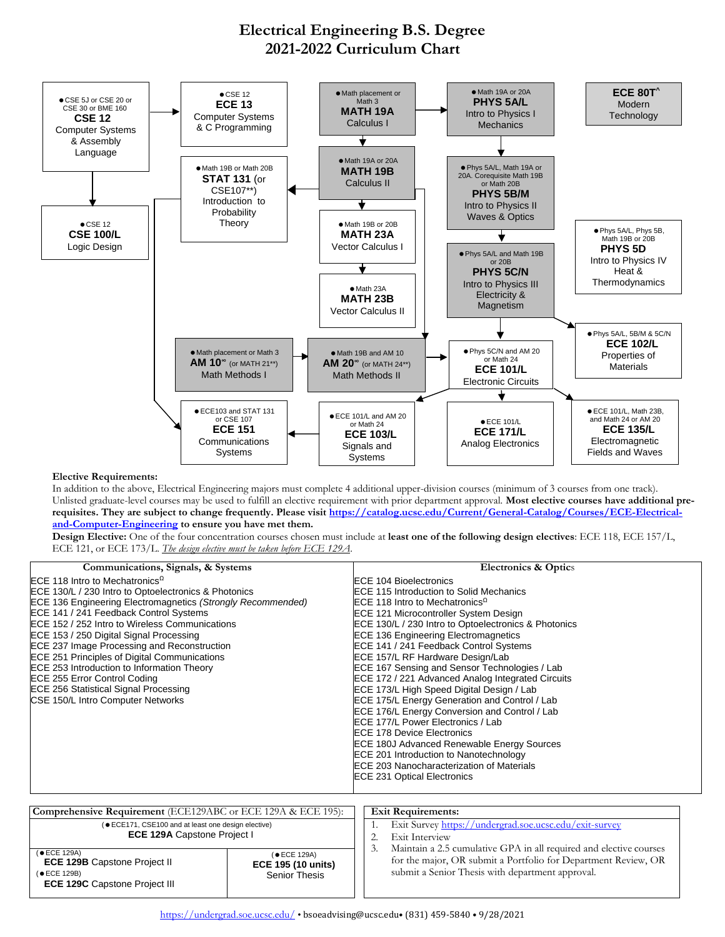## **Electrical Engineering B.S. Degree 2021-2022 Curriculum Chart**



## **Elective Requirements:**

 **ECE 129B** Capstone Project II

 **ECE 129C** Capstone Project III

(ECE 129B)

In addition to the above, Electrical Engineering majors must complete 4 additional upper-division courses (minimum of 3 courses from one track). Unlisted graduate-level courses may be used to fulfill an elective requirement with prior department approval. **Most elective courses have additional prerequisites. They are subject to change frequently. Please visit [https://catalog.ucsc.edu/Current/General-Catalog/Courses/ECE-Electrical](https://catalog.ucsc.edu/Current/General-Catalog/Courses/ECE-Electrical-and-Computer-Engineering)[and-Computer-Engineering](https://catalog.ucsc.edu/Current/General-Catalog/Courses/ECE-Electrical-and-Computer-Engineering) to ensure you have met them.** 

**Design Elective:** One of the four concentration courses chosen must include at **least one of the following design electives**: ECE 118, ECE 157/L, ECE 121, or ECE 173/L. *The design elective must be taken before ECE 129A*.

| Communications, Signals, & Systems                                                                                                                                                                                                                                                                                                                                                                                                                                                                                                                                                                         |              | <b>Electronics &amp; Optics</b>                                                                                                                                                                                                                                                                                                                                                                                                                                                                                                                                                                                                                                                                                                                                                                                                                                                  |  |  |
|------------------------------------------------------------------------------------------------------------------------------------------------------------------------------------------------------------------------------------------------------------------------------------------------------------------------------------------------------------------------------------------------------------------------------------------------------------------------------------------------------------------------------------------------------------------------------------------------------------|--------------|----------------------------------------------------------------------------------------------------------------------------------------------------------------------------------------------------------------------------------------------------------------------------------------------------------------------------------------------------------------------------------------------------------------------------------------------------------------------------------------------------------------------------------------------------------------------------------------------------------------------------------------------------------------------------------------------------------------------------------------------------------------------------------------------------------------------------------------------------------------------------------|--|--|
| ECE 118 Intro to Mechatronics <sup><math>\Omega</math></sup><br>ECE 130/L / 230 Intro to Optoelectronics & Photonics<br><b>ECE 136 Engineering Electromagnetics (Strongly Recommended)</b><br>ECE 141 / 241 Feedback Control Systems<br>ECE 152 / 252 Intro to Wireless Communications<br>ECE 153 / 250 Digital Signal Processing<br>ECE 237 Image Processing and Reconstruction<br><b>ECE 251 Principles of Digital Communications</b><br>ECE 253 Introduction to Information Theory<br>ECE 255 Error Control Coding<br><b>ECE 256 Statistical Signal Processing</b><br>CSE 150/L Intro Computer Networks |              | <b>ECE 104 Bioelectronics</b><br>ECE 115 Introduction to Solid Mechanics<br>ECE 118 Intro to Mechatronics <sup><math>\Omega</math></sup><br>ECE 121 Microcontroller System Design<br>ECE 130/L / 230 Intro to Optoelectronics & Photonics<br><b>ECE 136 Engineering Electromagnetics</b><br>ECE 141 / 241 Feedback Control Systems<br>ECE 157/L RF Hardware Design/Lab<br>ECE 167 Sensing and Sensor Technologies / Lab<br>ECE 172 / 221 Advanced Analog Integrated Circuits<br>ECE 173/L High Speed Digital Design / Lab<br>ECE 175/L Energy Generation and Control / Lab<br>ECE 176/L Energy Conversion and Control / Lab<br>ECE 177/L Power Electronics / Lab<br><b>ECE 178 Device Electronics</b><br>ECE 180J Advanced Renewable Energy Sources<br>ECE 201 Introduction to Nanotechnology<br>ECE 203 Nanocharacterization of Materials<br><b>ECE 231 Optical Electronics</b> |  |  |
| Comprehensive Requirement (ECE129ABC or ECE 129A & ECE 195):                                                                                                                                                                                                                                                                                                                                                                                                                                                                                                                                               |              | <b>Exit Requirements:</b>                                                                                                                                                                                                                                                                                                                                                                                                                                                                                                                                                                                                                                                                                                                                                                                                                                                        |  |  |
| ( $\bullet$ ECE171, CSE100 and at least one design elective)<br><b>ECE 129A Capstone Project I</b>                                                                                                                                                                                                                                                                                                                                                                                                                                                                                                         |              | Exit Survey https://undergrad.soe.ucsc.edu/exit-survey<br>1.<br>Exit Interview<br>2.<br>3.<br>Maintain a 2.5 cumulative GPA in all required and elective courses                                                                                                                                                                                                                                                                                                                                                                                                                                                                                                                                                                                                                                                                                                                 |  |  |
| (● ECE 129A)                                                                                                                                                                                                                                                                                                                                                                                                                                                                                                                                                                                               | (● ECE 129A) |                                                                                                                                                                                                                                                                                                                                                                                                                                                                                                                                                                                                                                                                                                                                                                                                                                                                                  |  |  |

for the major, OR submit a Portfolio for Department Review, OR

submit a Senior Thesis with department approval.

**ECE 195 (10 units)** Senior Thesis